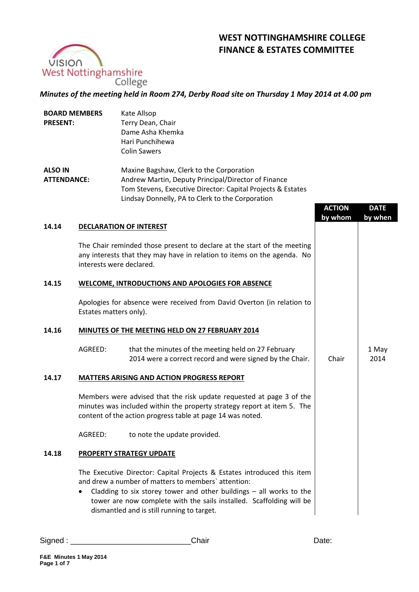# **WEST NOTTINGHAMSHIRE COLLEGE FINANCE & ESTATES COMMITTEE**



## *Minutes of the meeting held in Room 274, Derby Road site on Thursday 1 May 2014 at 4.00 pm*

| <b>BOARD MEMBERS</b><br><b>PRESENT:</b> |                          | Kate Allsop<br>Terry Dean, Chair<br>Dame Asha Khemka<br>Hari Punchihewa<br><b>Colin Sawers</b>                                                                                                                                                                                                                                |               |               |
|-----------------------------------------|--------------------------|-------------------------------------------------------------------------------------------------------------------------------------------------------------------------------------------------------------------------------------------------------------------------------------------------------------------------------|---------------|---------------|
| <b>ALSO IN</b><br><b>ATTENDANCE:</b>    |                          | Maxine Bagshaw, Clerk to the Corporation<br>Andrew Martin, Deputy Principal/Director of Finance<br>Tom Stevens, Executive Director: Capital Projects & Estates<br>Lindsay Donnelly, PA to Clerk to the Corporation                                                                                                            | <b>ACTION</b> | <b>DATE</b>   |
|                                         |                          |                                                                                                                                                                                                                                                                                                                               | by whom       | by when       |
| 14.14                                   |                          | <b>DECLARATION OF INTEREST</b>                                                                                                                                                                                                                                                                                                |               |               |
|                                         | interests were declared. | The Chair reminded those present to declare at the start of the meeting<br>any interests that they may have in relation to items on the agenda. No                                                                                                                                                                            |               |               |
| 14.15                                   |                          | <b>WELCOME, INTRODUCTIONS AND APOLOGIES FOR ABSENCE</b>                                                                                                                                                                                                                                                                       |               |               |
|                                         | Estates matters only).   | Apologies for absence were received from David Overton (in relation to                                                                                                                                                                                                                                                        |               |               |
| 14.16                                   |                          | MINUTES OF THE MEETING HELD ON 27 FEBRUARY 2014                                                                                                                                                                                                                                                                               |               |               |
|                                         | AGREED:                  | that the minutes of the meeting held on 27 February<br>2014 were a correct record and were signed by the Chair.                                                                                                                                                                                                               | Chair         | 1 May<br>2014 |
| 14.17                                   |                          | <b>MATTERS ARISING AND ACTION PROGRESS REPORT</b>                                                                                                                                                                                                                                                                             |               |               |
|                                         |                          | Members were advised that the risk update requested at page 3 of the<br>minutes was included within the property strategy report at item 5. The<br>content of the action progress table at page 14 was noted.                                                                                                                 |               |               |
|                                         | AGREED:                  | to note the update provided.                                                                                                                                                                                                                                                                                                  |               |               |
| 14.18                                   |                          | <b>PROPERTY STRATEGY UPDATE</b>                                                                                                                                                                                                                                                                                               |               |               |
|                                         |                          | The Executive Director: Capital Projects & Estates introduced this item<br>and drew a number of matters to members' attention:<br>Cladding to six storey tower and other buildings $-$ all works to the<br>tower are now complete with the sails installed. Scaffolding will be<br>dismantled and is still running to target. |               |               |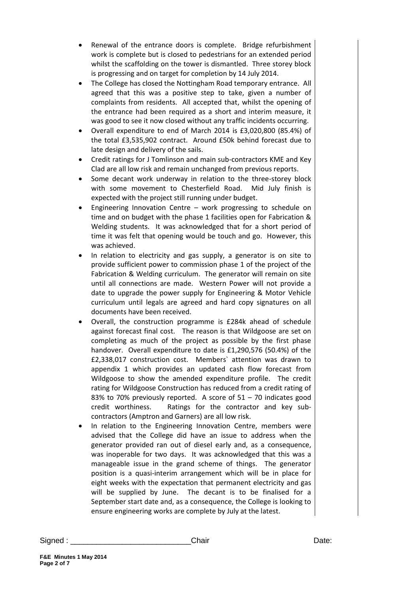- Renewal of the entrance doors is complete. Bridge refurbishment work is complete but is closed to pedestrians for an extended period whilst the scaffolding on the tower is dismantled. Three storey block is progressing and on target for completion by 14 July 2014.
- The College has closed the Nottingham Road temporary entrance. All agreed that this was a positive step to take, given a number of complaints from residents. All accepted that, whilst the opening of the entrance had been required as a short and interim measure, it was good to see it now closed without any traffic incidents occurring.
- Overall expenditure to end of March 2014 is £3,020,800 (85.4%) of the total £3,535,902 contract. Around £50k behind forecast due to late design and delivery of the sails.
- Credit ratings for J Tomlinson and main sub-contractors KME and Key Clad are all low risk and remain unchanged from previous reports.
- Some decant work underway in relation to the three-storey block with some movement to Chesterfield Road. Mid July finish is expected with the project still running under budget.
- Engineering Innovation Centre work progressing to schedule on time and on budget with the phase 1 facilities open for Fabrication & Welding students. It was acknowledged that for a short period of time it was felt that opening would be touch and go. However, this was achieved.
- In relation to electricity and gas supply, a generator is on site to provide sufficient power to commission phase 1 of the project of the Fabrication & Welding curriculum. The generator will remain on site until all connections are made. Western Power will not provide a date to upgrade the power supply for Engineering & Motor Vehicle curriculum until legals are agreed and hard copy signatures on all documents have been received.
- Overall, the construction programme is £284k ahead of schedule against forecast final cost. The reason is that Wildgoose are set on completing as much of the project as possible by the first phase handover. Overall expenditure to date is £1,290,576 (50.4%) of the £2,338,017 construction cost. Members` attention was drawn to appendix 1 which provides an updated cash flow forecast from Wildgoose to show the amended expenditure profile. The credit rating for Wildgoose Construction has reduced from a credit rating of 83% to 70% previously reported. A score of  $51 - 70$  indicates good credit worthiness. Ratings for the contractor and key subcontractors (Amptron and Garners) are all low risk.
- In relation to the Engineering Innovation Centre, members were advised that the College did have an issue to address when the generator provided ran out of diesel early and, as a consequence, was inoperable for two days. It was acknowledged that this was a manageable issue in the grand scheme of things. The generator position is a quasi-interim arrangement which will be in place for eight weeks with the expectation that permanent electricity and gas will be supplied by June. The decant is to be finalised for a September start date and, as a consequence, the College is looking to ensure engineering works are complete by July at the latest.

Signed : \_\_\_\_\_\_\_\_\_\_\_\_\_\_\_\_\_\_\_\_\_\_\_\_\_\_\_\_Chair Date: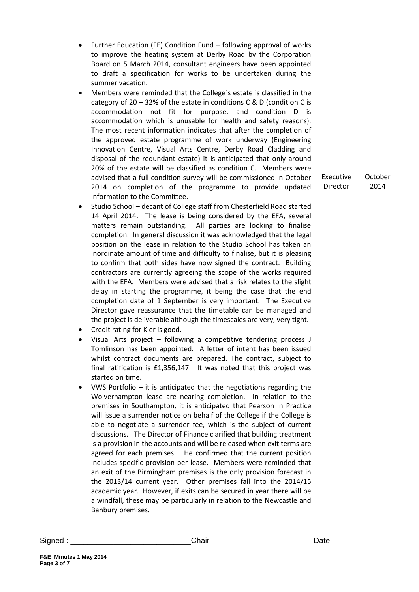- Further Education (FE) Condition Fund following approval of works to improve the heating system at Derby Road by the Corporation Board on 5 March 2014, consultant engineers have been appointed to draft a specification for works to be undertaken during the summer vacation.
- Members were reminded that the College`s estate is classified in the category of  $20 - 32\%$  of the estate in conditions C & D (condition C is accommodation not fit for purpose, and condition D is accommodation which is unusable for health and safety reasons). The most recent information indicates that after the completion of the approved estate programme of work underway (Engineering Innovation Centre, Visual Arts Centre, Derby Road Cladding and disposal of the redundant estate) it is anticipated that only around 20% of the estate will be classified as condition C. Members were advised that a full condition survey will be commissioned in October 2014 on completion of the programme to provide updated information to the Committee.
- Studio School decant of College staff from Chesterfield Road started 14 April 2014. The lease is being considered by the EFA, several matters remain outstanding. All parties are looking to finalise completion. In general discussion it was acknowledged that the legal position on the lease in relation to the Studio School has taken an inordinate amount of time and difficulty to finalise, but it is pleasing to confirm that both sides have now signed the contract. Building contractors are currently agreeing the scope of the works required with the EFA. Members were advised that a risk relates to the slight delay in starting the programme, it being the case that the end completion date of 1 September is very important. The Executive Director gave reassurance that the timetable can be managed and the project is deliverable although the timescales are very, very tight.
- Credit rating for Kier is good.
- Visual Arts project following a competitive tendering process J Tomlinson has been appointed. A letter of intent has been issued whilst contract documents are prepared. The contract, subject to final ratification is £1,356,147. It was noted that this project was started on time.
- VWS Portfolio it is anticipated that the negotiations regarding the Wolverhampton lease are nearing completion. In relation to the premises in Southampton, it is anticipated that Pearson in Practice will issue a surrender notice on behalf of the College if the College is able to negotiate a surrender fee, which is the subject of current discussions. The Director of Finance clarified that building treatment is a provision in the accounts and will be released when exit terms are agreed for each premises. He confirmed that the current position includes specific provision per lease. Members were reminded that an exit of the Birmingham premises is the only provision forecast in the 2013/14 current year. Other premises fall into the 2014/15 academic year. However, if exits can be secured in year there will be a windfall, these may be particularly in relation to the Newcastle and Banbury premises.

Executive **October** 2014

Director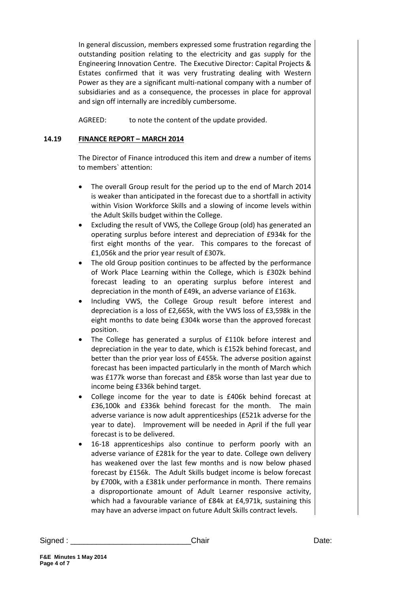In general discussion, members expressed some frustration regarding the outstanding position relating to the electricity and gas supply for the Engineering Innovation Centre. The Executive Director: Capital Projects & Estates confirmed that it was very frustrating dealing with Western Power as they are a significant multi-national company with a number of subsidiaries and as a consequence, the processes in place for approval and sign off internally are incredibly cumbersome.

AGREED: to note the content of the update provided.

### **14.19 FINANCE REPORT – MARCH 2014**

The Director of Finance introduced this item and drew a number of items to members` attention:

- The overall Group result for the period up to the end of March 2014 is weaker than anticipated in the forecast due to a shortfall in activity within Vision Workforce Skills and a slowing of income levels within the Adult Skills budget within the College.
- Excluding the result of VWS, the College Group (old) has generated an operating surplus before interest and depreciation of £934k for the first eight months of the year. This compares to the forecast of £1,056k and the prior year result of £307k.
- The old Group position continues to be affected by the performance of Work Place Learning within the College, which is £302k behind forecast leading to an operating surplus before interest and depreciation in the month of £49k, an adverse variance of £163k.
- Including VWS, the College Group result before interest and depreciation is a loss of £2,665k, with the VWS loss of £3,598k in the eight months to date being £304k worse than the approved forecast position.
- The College has generated a surplus of £110k before interest and depreciation in the year to date, which is £152k behind forecast, and better than the prior year loss of £455k. The adverse position against forecast has been impacted particularly in the month of March which was £177k worse than forecast and £85k worse than last year due to income being £336k behind target.
- College income for the year to date is £406k behind forecast at £36,100k and £336k behind forecast for the month. The main adverse variance is now adult apprenticeships (£521k adverse for the year to date). Improvement will be needed in April if the full year forecast is to be delivered.
- 16-18 apprenticeships also continue to perform poorly with an adverse variance of £281k for the year to date. College own delivery has weakened over the last few months and is now below phased forecast by £156k. The Adult Skills budget income is below forecast by £700k, with a £381k under performance in month. There remains a disproportionate amount of Adult Learner responsive activity, which had a favourable variance of £84k at £4,971k, sustaining this may have an adverse impact on future Adult Skills contract levels.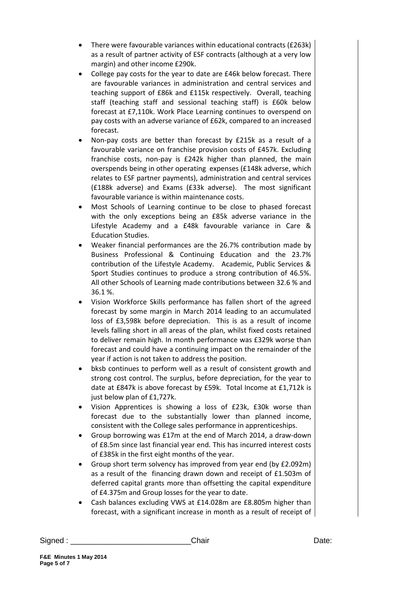- There were favourable variances within educational contracts (£263k) as a result of partner activity of ESF contracts (although at a very low margin) and other income £290k.
- College pay costs for the year to date are £46k below forecast. There are favourable variances in administration and central services and teaching support of £86k and £115k respectively. Overall, teaching staff (teaching staff and sessional teaching staff) is £60k below forecast at £7,110k. Work Place Learning continues to overspend on pay costs with an adverse variance of £62k, compared to an increased forecast.
- Non-pay costs are better than forecast by £215k as a result of a favourable variance on franchise provision costs of £457k. Excluding franchise costs, non-pay is £242k higher than planned, the main overspends being in other operating expenses (£148k adverse, which relates to ESF partner payments), administration and central services (£188k adverse) and Exams (£33k adverse). The most significant favourable variance is within maintenance costs.
- Most Schools of Learning continue to be close to phased forecast with the only exceptions being an £85k adverse variance in the Lifestyle Academy and a £48k favourable variance in Care & Education Studies.
- Weaker financial performances are the 26.7% contribution made by Business Professional & Continuing Education and the 23.7% contribution of the Lifestyle Academy. Academic, Public Services & Sport Studies continues to produce a strong contribution of 46.5%. All other Schools of Learning made contributions between 32.6 % and 36.1 %.
- Vision Workforce Skills performance has fallen short of the agreed forecast by some margin in March 2014 leading to an accumulated loss of £3,598k before depreciation. This is as a result of income levels falling short in all areas of the plan, whilst fixed costs retained to deliver remain high. In month performance was £329k worse than forecast and could have a continuing impact on the remainder of the year if action is not taken to address the position.
- bksb continues to perform well as a result of consistent growth and strong cost control. The surplus, before depreciation, for the year to date at £847k is above forecast by £59k. Total Income at £1,712k is just below plan of £1,727k.
- Vision Apprentices is showing a loss of £23k, £30k worse than forecast due to the substantially lower than planned income, consistent with the College sales performance in apprenticeships.
- Group borrowing was £17m at the end of March 2014, a draw-down of £8.5m since last financial year end. This has incurred interest costs of £385k in the first eight months of the year.
- Group short term solvency has improved from year end (by £2.092m) as a result of the financing drawn down and receipt of £1.503m of deferred capital grants more than offsetting the capital expenditure of £4.375m and Group losses for the year to date.
- Cash balances excluding VWS at £14.028m are £8.805m higher than forecast, with a significant increase in month as a result of receipt of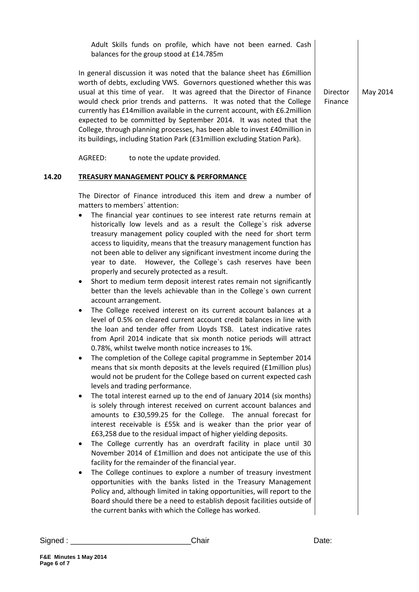|       | Adult Skills funds on profile, which have not been earned. Cash<br>balances for the group stood at £14.785m                                                                                                                                                                                                                                                                                                                                                                                                                                                                                                                                                                                                                                                                                                                                                                                                                                                                                                                                                                                                                                                                                                                                                                                                                                                                                                                                                                                                                                                                                                                                                                                                                                                                                                                                                                                                                                                                                                                                                                                                                                                                                                                                                                                                                      |                     |          |
|-------|----------------------------------------------------------------------------------------------------------------------------------------------------------------------------------------------------------------------------------------------------------------------------------------------------------------------------------------------------------------------------------------------------------------------------------------------------------------------------------------------------------------------------------------------------------------------------------------------------------------------------------------------------------------------------------------------------------------------------------------------------------------------------------------------------------------------------------------------------------------------------------------------------------------------------------------------------------------------------------------------------------------------------------------------------------------------------------------------------------------------------------------------------------------------------------------------------------------------------------------------------------------------------------------------------------------------------------------------------------------------------------------------------------------------------------------------------------------------------------------------------------------------------------------------------------------------------------------------------------------------------------------------------------------------------------------------------------------------------------------------------------------------------------------------------------------------------------------------------------------------------------------------------------------------------------------------------------------------------------------------------------------------------------------------------------------------------------------------------------------------------------------------------------------------------------------------------------------------------------------------------------------------------------------------------------------------------------|---------------------|----------|
|       | In general discussion it was noted that the balance sheet has £6million<br>worth of debts, excluding VWS. Governors questioned whether this was<br>usual at this time of year. It was agreed that the Director of Finance<br>would check prior trends and patterns. It was noted that the College<br>currently has £14 million available in the current account, with £6.2 million<br>expected to be committed by September 2014. It was noted that the<br>College, through planning processes, has been able to invest £40million in<br>its buildings, including Station Park (£31 million excluding Station Park).                                                                                                                                                                                                                                                                                                                                                                                                                                                                                                                                                                                                                                                                                                                                                                                                                                                                                                                                                                                                                                                                                                                                                                                                                                                                                                                                                                                                                                                                                                                                                                                                                                                                                                             | Director<br>Finance | May 2014 |
|       | AGREED:<br>to note the update provided.                                                                                                                                                                                                                                                                                                                                                                                                                                                                                                                                                                                                                                                                                                                                                                                                                                                                                                                                                                                                                                                                                                                                                                                                                                                                                                                                                                                                                                                                                                                                                                                                                                                                                                                                                                                                                                                                                                                                                                                                                                                                                                                                                                                                                                                                                          |                     |          |
| 14.20 | <b>TREASURY MANAGEMENT POLICY &amp; PERFORMANCE</b>                                                                                                                                                                                                                                                                                                                                                                                                                                                                                                                                                                                                                                                                                                                                                                                                                                                                                                                                                                                                                                                                                                                                                                                                                                                                                                                                                                                                                                                                                                                                                                                                                                                                                                                                                                                                                                                                                                                                                                                                                                                                                                                                                                                                                                                                              |                     |          |
|       | The Director of Finance introduced this item and drew a number of<br>matters to members' attention:<br>The financial year continues to see interest rate returns remain at<br>٠<br>historically low levels and as a result the College's risk adverse<br>treasury management policy coupled with the need for short term<br>access to liquidity, means that the treasury management function has<br>not been able to deliver any significant investment income during the<br>year to date. However, the College's cash reserves have been<br>properly and securely protected as a result.<br>Short to medium term deposit interest rates remain not significantly<br>٠<br>better than the levels achievable than in the College's own current<br>account arrangement.<br>The College received interest on its current account balances at a<br>$\bullet$<br>level of 0.5% on cleared current account credit balances in line with<br>the loan and tender offer from Lloyds TSB. Latest indicative rates<br>from April 2014 indicate that six month notice periods will attract<br>0.78%, whilst twelve month notice increases to 1%.<br>The completion of the College capital programme in September 2014<br>means that six month deposits at the levels required (£1million plus)<br>would not be prudent for the College based on current expected cash<br>levels and trading performance.<br>The total interest earned up to the end of January 2014 (six months)<br>٠<br>is solely through interest received on current account balances and<br>amounts to £30,599.25 for the College. The annual forecast for<br>interest receivable is £55k and is weaker than the prior year of<br>£63,258 due to the residual impact of higher yielding deposits.<br>The College currently has an overdraft facility in place until 30<br>٠<br>November 2014 of £1million and does not anticipate the use of this<br>facility for the remainder of the financial year.<br>The College continues to explore a number of treasury investment<br>$\bullet$<br>opportunities with the banks listed in the Treasury Management<br>Policy and, although limited in taking opportunities, will report to the<br>Board should there be a need to establish deposit facilities outside of<br>the current banks with which the College has worked. |                     |          |